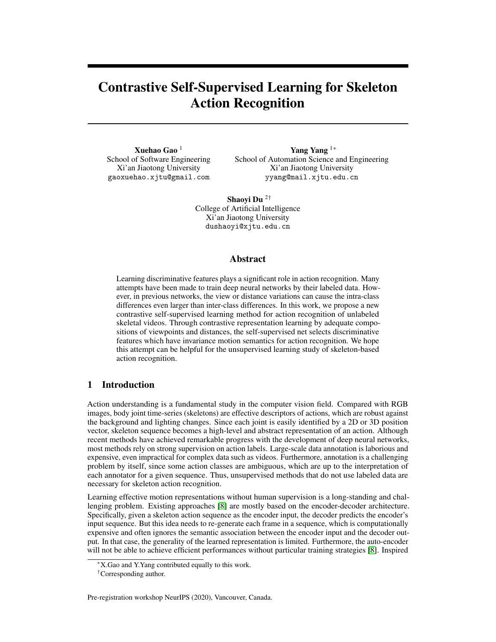# Contrastive Self-Supervised Learning for Skeleton Action Recognition

Xuehao Gao <sup>1</sup> School of Software Engineering Xi'an Jiaotong University gaoxuehao.xjtu@gmail.com

Yang Yang <sup>1</sup><sup>∗</sup> School of Automation Science and Engineering Xi'an Jiaotong University yyang@mail.xjtu.edu.cn

Shaoyi Du <sup>2</sup>† College of Artificial Intelligence Xi'an Jiaotong University dushaoyi@xjtu.edu.cn

# Abstract

Learning discriminative features plays a significant role in action recognition. Many attempts have been made to train deep neural networks by their labeled data. However, in previous networks, the view or distance variations can cause the intra-class differences even larger than inter-class differences. In this work, we propose a new contrastive self-supervised learning method for action recognition of unlabeled skeletal videos. Through contrastive representation learning by adequate compositions of viewpoints and distances, the self-supervised net selects discriminative features which have invariance motion semantics for action recognition. We hope this attempt can be helpful for the unsupervised learning study of skeleton-based action recognition.

# 1 Introduction

Action understanding is a fundamental study in the computer vision field. Compared with RGB images, body joint time-series (skeletons) are effective descriptors of actions, which are robust against the background and lighting changes. Since each joint is easily identified by a 2D or 3D position vector, skeleton sequence becomes a high-level and abstract representation of an action. Although recent methods have achieved remarkable progress with the development of deep neural networks, most methods rely on strong supervision on action labels. Large-scale data annotation is laborious and expensive, even impractical for complex data such as videos. Furthermore, annotation is a challenging problem by itself, since some action classes are ambiguous, which are up to the interpretation of each annotator for a given sequence. Thus, unsupervised methods that do not use labeled data are necessary for skeleton action recognition.

Learning effective motion representations without human supervision is a long-standing and challenging problem. Existing approaches [\[8\]](#page-5-0) are mostly based on the encoder-decoder architecture. Specifically, given a skeleton action sequence as the encoder input, the decoder predicts the encoder's input sequence. But this idea needs to re-generate each frame in a sequence, which is computationally expensive and often ignores the semantic association between the encoder input and the decoder output. In that case, the generality of the learned representation is limited. Furthermore, the auto-encoder will not be able to achieve efficient performances without particular training strategies [\[8\]](#page-5-0). Inspired

Pre-registration workshop NeurIPS (2020), Vancouver, Canada.

<sup>∗</sup>X.Gao and Y.Yang contributed equally to this work.

<sup>†</sup>Corresponding author.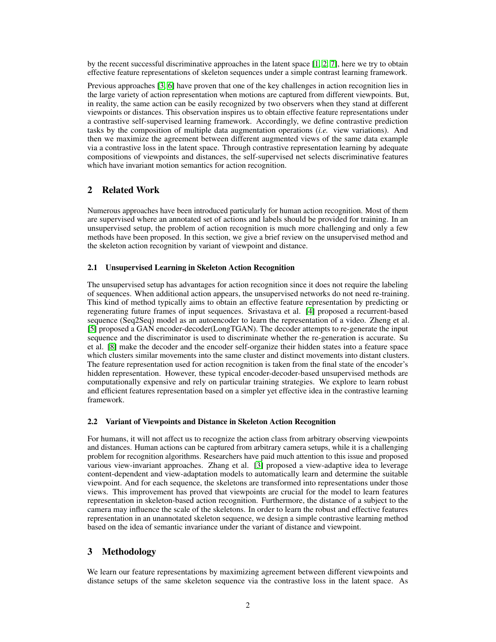by the recent successful discriminative approaches in the latent space [\[1,](#page-5-1) [2,](#page-5-2) [7\]](#page-5-3), here we try to obtain effective feature representations of skeleton sequences under a simple contrast learning framework.

Previous approaches [\[3,](#page-5-4) [6\]](#page-5-5) have proven that one of the key challenges in action recognition lies in the large variety of action representation when motions are captured from different viewpoints. But, in reality, the same action can be easily recognized by two observers when they stand at different viewpoints or distances. This observation inspires us to obtain effective feature representations under a contrastive self-supervised learning framework. Accordingly, we define contrastive prediction tasks by the composition of multiple data augmentation operations (*i.e.* view variations). And then we maximize the agreement between different augmented views of the same data example via a contrastive loss in the latent space. Through contrastive representation learning by adequate compositions of viewpoints and distances, the self-supervised net selects discriminative features which have invariant motion semantics for action recognition.

# 2 Related Work

Numerous approaches have been introduced particularly for human action recognition. Most of them are supervised where an annotated set of actions and labels should be provided for training. In an unsupervised setup, the problem of action recognition is much more challenging and only a few methods have been proposed. In this section, we give a brief review on the unsupervised method and the skeleton action recognition by variant of viewpoint and distance.

### 2.1 Unsupervised Learning in Skeleton Action Recognition

The unsupervised setup has advantages for action recognition since it does not require the labeling of sequences. When additional action appears, the unsupervised networks do not need re-training. This kind of method typically aims to obtain an effective feature representation by predicting or regenerating future frames of input sequences. Srivastava et al. [\[4\]](#page-5-6) proposed a recurrent-based sequence (Seq2Seq) model as an autoencoder to learn the representation of a video. Zheng et al. [\[5\]](#page-5-7) proposed a GAN encoder-decoder(LongTGAN). The decoder attempts to re-generate the input sequence and the discriminator is used to discriminate whether the re-generation is accurate. Su et al. [\[8\]](#page-5-0) make the decoder and the encoder self-organize their hidden states into a feature space which clusters similar movements into the same cluster and distinct movements into distant clusters. The feature representation used for action recognition is taken from the final state of the encoder's hidden representation. However, these typical encoder-decoder-based unsupervised methods are computationally expensive and rely on particular training strategies. We explore to learn robust and efficient features representation based on a simpler yet effective idea in the contrastive learning framework.

#### 2.2 Variant of Viewpoints and Distance in Skeleton Action Recognition

For humans, it will not affect us to recognize the action class from arbitrary observing viewpoints and distances. Human actions can be captured from arbitrary camera setups, while it is a challenging problem for recognition algorithms. Researchers have paid much attention to this issue and proposed various view-invariant approaches. Zhang et al. [\[3\]](#page-5-4) proposed a view-adaptive idea to leverage content-dependent and view-adaptation models to automatically learn and determine the suitable viewpoint. And for each sequence, the skeletons are transformed into representations under those views. This improvement has proved that viewpoints are crucial for the model to learn features representation in skeleton-based action recognition. Furthermore, the distance of a subject to the camera may influence the scale of the skeletons. In order to learn the robust and effective features representation in an unannotated skeleton sequence, we design a simple contrastive learning method based on the idea of semantic invariance under the variant of distance and viewpoint.

# 3 Methodology

We learn our feature representations by maximizing agreement between different viewpoints and distance setups of the same skeleton sequence via the contrastive loss in the latent space. As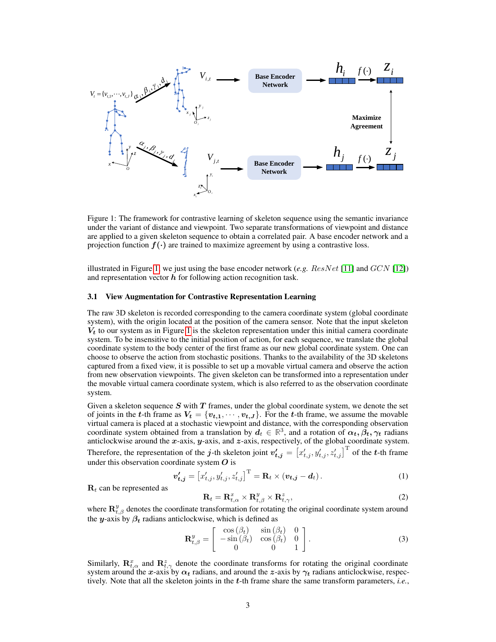

<span id="page-2-0"></span>Figure 1: The framework for contrastive learning of skeleton sequence using the semantic invariance under the variant of distance and viewpoint. Two separate transformations of viewpoint and distance are applied to a given skeleton sequence to obtain a correlated pair. A base encoder network and a projection function  $f(\cdot)$  are trained to maximize agreement by using a contrastive loss.

illustrated in Figure [1,](#page-2-0) we just using the base encoder network  $(e.g. ResNet [11]$  $(e.g. ResNet [11]$  and  $GCN [12])$  $GCN [12])$  $GCN [12])$ and representation vector  $h$  for following action recognition task.

#### 3.1 View Augmentation for Contrastive Representation Learning

The raw 3D skeleton is recorded corresponding to the camera coordinate system (global coordinate system), with the origin located at the position of the camera sensor. Note that the input skeleton  $V_t$  to our system as in Figure [1](#page-2-0) is the skeleton representation under this initial camera coordinate system. To be insensitive to the initial position of action, for each sequence, we translate the global coordinate system to the body center of the first frame as our new global coordinate system. One can choose to observe the action from stochastic positions. Thanks to the availability of the 3D skeletons captured from a fixed view, it is possible to set up a movable virtual camera and observe the action from new observation viewpoints. The given skeleton can be transformed into a representation under the movable virtual camera coordinate system, which is also referred to as the observation coordinate system.

Given a skeleton sequence  $S$  with  $T$  frames, under the global coordinate system, we denote the set of joints in the t-th frame as  $V_t = \{v_{t,1}, \dots, v_{t,J}\}$ . For the t-th frame, we assume the movable virtual camera is placed at a stochastic viewpoint and distance, with the corresponding observation coordinate system obtained from a translation by  $d_t \in \mathbb{R}^3$ , and a rotation of  $\alpha_t, \beta_t, \gamma_t$  radians anticlockwise around the x-axis,  $y$ -axis, and  $z$ -axis, respectively, of the global coordinate system. Therefore, the representation of the j-th skeleton joint  $v'_{t,j} = \left[x'_{t,j}, y'_{t,j}, z'_{t,j}\right]^{\text{T}}$  of the t-th frame under this observation coordinate system  $\bm{O}$  is

$$
\boldsymbol{v}'_{t,j} = \left[x'_{t,j}, y'_{t,j}, z'_{t,j}\right]^{\mathrm{T}} = \mathbf{R}_t \times (\boldsymbol{v}_{t,j} - \boldsymbol{d}_t). \tag{1}
$$

 $\mathbf{R}_t$  can be represented as

<span id="page-2-1"></span>
$$
\mathbf{R}_t = \mathbf{R}_{t,\alpha}^x \times \mathbf{R}_{t,\beta}^y \times \mathbf{R}_{t,\gamma}^z,\tag{2}
$$

where  $\mathbf{R}_{t,\beta}^y$  denotes the coordinate transformation for rotating the original coordinate system around the y-axis by  $\beta_t$  radians anticlockwise, which is defined as

$$
\mathbf{R}_{t,\beta}^{y} = \begin{bmatrix} \cos(\beta_t) & \sin(\beta_t) & 0\\ -\sin(\beta_t) & \cos(\beta_t) & 0\\ 0 & 0 & 1 \end{bmatrix}.
$$
 (3)

Similarly,  $\mathbf{R}_{t,\alpha}^x$  and  $\mathbf{R}_{t,\gamma}^z$  denote the coordinate transforms for rotating the original coordinate system around the x-axis by  $\alpha_t$  radians, and around the z-axis by  $\gamma_t$  radians anticlockwise, respectively. Note that all the skeleton joints in the t-th frame share the same transform parameters, *i.e.*,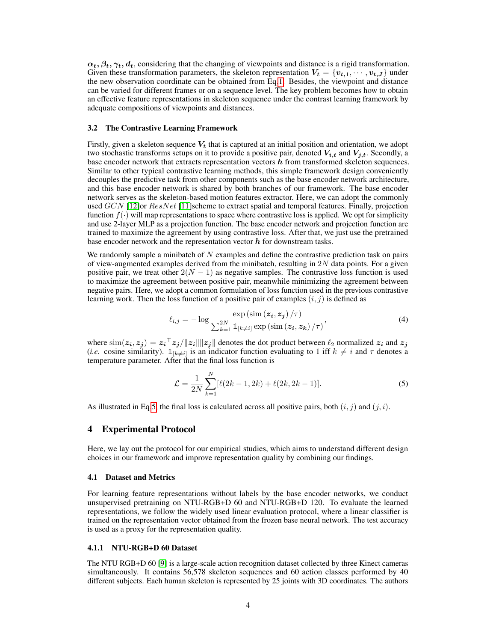$\alpha_t, \beta_t, \gamma_t, d_t$ , considering that the changing of viewpoints and distance is a rigid transformation. Given these transformation parameters, the skeleton representation  $V_t = \{v_{t,1}, \dots, v_{t,J}\}\$ under the new observation coordinate can be obtained from Eq[.1.](#page-2-1) Besides, the viewpoint and distance can be varied for different frames or on a sequence level. The key problem becomes how to obtain an effective feature representations in skeleton sequence under the contrast learning framework by adequate compositions of viewpoints and distances.

#### 3.2 The Contrastive Learning Framework

Firstly, given a skeleton sequence  $V_t$  that is captured at an initial position and orientation, we adopt two stochastic transforms setups on it to provide a positive pair, denoted  $V_{i,t}$  and  $V_{i,t}$ . Secondly, a base encoder network that extracts representation vectors  $h$  from transformed skeleton sequences. Similar to other typical contrastive learning methods, this simple framework design conveniently decouples the predictive task from other components such as the base encoder network architecture, and this base encoder network is shared by both branches of our framework. The base encoder network serves as the skeleton-based motion features extractor. Here, we can adopt the commonly used  $GCN$  [\[12\]](#page-5-9)or  $ResNet$  [\[11\]](#page-5-8)scheme to extract spatial and temporal features. Finally, projection function  $f(\cdot)$  will map representations to space where contrastive loss is applied. We opt for simplicity and use 2-layer MLP as a projection function. The base encoder network and projection function are trained to maximize the agreement by using contrastive loss. After that, we just use the pretrained base encoder network and the representation vector  $h$  for downstream tasks.

We randomly sample a minibatch of  $N$  examples and define the contrastive prediction task on pairs of view-augmented examples derived from the minibatch, resulting in  $2N$  data points. For a given positive pair, we treat other  $2(N - 1)$  as negative samples. The contrastive loss function is used to maximize the agreement between positive pair, meanwhile minimizing the agreement between negative pairs. Here, we adopt a common formulation of loss function used in the previous contrastive learning work. Then the loss function of a positive pair of examples  $(i, j)$  is defined as

$$
\ell_{i,j} = -\log \frac{\exp\left(\sin\left(z_i, z_j\right)/\tau\right)}{\sum_{k=1}^{2N} \mathbb{1}_{\left[k \neq i\right]} \exp\left(\sin\left(z_i, z_k\right)/\tau\right)},\tag{4}
$$

where  $\text{sim}(z_i, z_j) = z_i^\top z_j / ||z_i|| ||z_j||$  denotes the dot product between  $\ell_2$  normalized  $z_i$  and  $z_j$ (*i.e.* cosine similarity).  $\mathbb{1}_{[k\neq i]}$  is an indicator function evaluating to 1 iff  $k \neq i$  and  $\tau$  denotes a temperature parameter. After that the final loss function is

<span id="page-3-0"></span>
$$
\mathcal{L} = \frac{1}{2N} \sum_{k=1}^{N} [\ell(2k - 1, 2k) + \ell(2k, 2k - 1)].
$$
\n(5)

As illustrated in Eq[.5,](#page-3-0) the final loss is calculated across all positive pairs, both  $(i, j)$  and  $(j, i)$ .

# 4 Experimental Protocol

Here, we lay out the protocol for our empirical studies, which aims to understand different design choices in our framework and improve representation quality by combining our findings.

### 4.1 Dataset and Metrics

For learning feature representations without labels by the base encoder networks, we conduct unsupervised pretraining on NTU-RGB+D 60 and NTU-RGB+D 120. To evaluate the learned representations, we follow the widely used linear evaluation protocol, where a linear classifier is trained on the representation vector obtained from the frozen base neural network. The test accuracy is used as a proxy for the representation quality.

#### 4.1.1 NTU-RGB+D 60 Dataset

The NTU RGB+D 60 [\[9\]](#page-5-10) is a large-scale action recognition dataset collected by three Kinect cameras simultaneously. It contains 56,578 skeleton sequences and 60 action classes performed by 40 different subjects. Each human skeleton is represented by 25 joints with 3D coordinates. The authors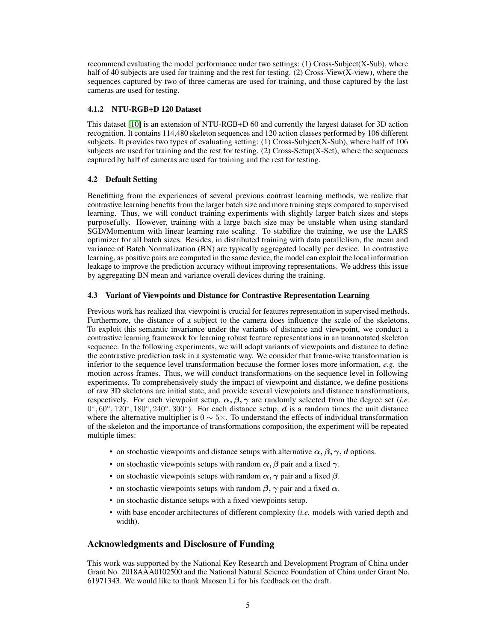recommend evaluating the model performance under two settings: (1) Cross-Subject(X-Sub), where half of 40 subjects are used for training and the rest for testing. (2) Cross-View(X-view), where the sequences captured by two of three cameras are used for training, and those captured by the last cameras are used for testing.

## 4.1.2 NTU-RGB+D 120 Dataset

This dataset [\[10\]](#page-5-11) is an extension of NTU-RGB+D 60 and currently the largest dataset for 3D action recognition. It contains 114,480 skeleton sequences and 120 action classes performed by 106 different subjects. It provides two types of evaluating setting: (1) Cross-Subject(X-Sub), where half of 106 subjects are used for training and the rest for testing. (2) Cross-Setup(X-Set), where the sequences captured by half of cameras are used for training and the rest for testing.

# 4.2 Default Setting

Benefitting from the experiences of several previous contrast learning methods, we realize that contrastive learning benefits from the larger batch size and more training steps compared to supervised learning. Thus, we will conduct training experiments with slightly larger batch sizes and steps purposefully. However, training with a large batch size may be unstable when using standard SGD/Momentum with linear learning rate scaling. To stabilize the training, we use the LARS optimizer for all batch sizes. Besides, in distributed training with data parallelism, the mean and variance of Batch Normalization (BN) are typically aggregated locally per device. In contrastive learning, as positive pairs are computed in the same device, the model can exploit the local information leakage to improve the prediction accuracy without improving representations. We address this issue by aggregating BN mean and variance overall devices during the training.

## 4.3 Variant of Viewpoints and Distance for Contrastive Representation Learning

Previous work has realized that viewpoint is crucial for features representation in supervised methods. Furthermore, the distance of a subject to the camera does influence the scale of the skeletons. To exploit this semantic invariance under the variants of distance and viewpoint, we conduct a contrastive learning framework for learning robust feature representations in an unannotated skeleton sequence. In the following experiments, we will adopt variants of viewpoints and distance to define the contrastive prediction task in a systematic way. We consider that frame-wise transformation is inferior to the sequence level transformation because the former loses more information, *e.g.* the motion across frames. Thus, we will conduct transformations on the sequence level in following experiments. To comprehensively study the impact of viewpoint and distance, we define positions of raw 3D skeletons are initial state, and provide several viewpoints and distance transformations, respectively. For each viewpoint setup,  $\alpha$ ,  $\beta$ ,  $\gamma$  are randomly selected from the degree set (*i.e.*)  $0^\circ, 60^\circ, 120^\circ, 180^\circ, 240^\circ, 300^\circ$ ). For each distance setup, d is a random times the unit distance where the alternative multiplier is  $0 \sim 5 \times$ . To understand the effects of individual transformation of the skeleton and the importance of transformations composition, the experiment will be repeated multiple times:

- on stochastic viewpoints and distance setups with alternative  $\alpha, \beta, \gamma, d$  options.
- on stochastic viewpoints setups with random  $\alpha$ ,  $\beta$  pair and a fixed  $\gamma$ .
- on stochastic viewpoints setups with random  $\alpha$ ,  $\gamma$  pair and a fixed  $\beta$ .
- on stochastic viewpoints setups with random  $\beta$ ,  $\gamma$  pair and a fixed  $\alpha$ .
- on stochastic distance setups with a fixed viewpoints setup.
- with base encoder architectures of different complexity (*i.e.* models with varied depth and width).

# Acknowledgments and Disclosure of Funding

This work was supported by the National Key Research and Development Program of China under Grant No. 2018AAA0102500 and the National Natural Science Foundation of China under Grant No. 61971343. We would like to thank Maosen Li for his feedback on the draft.